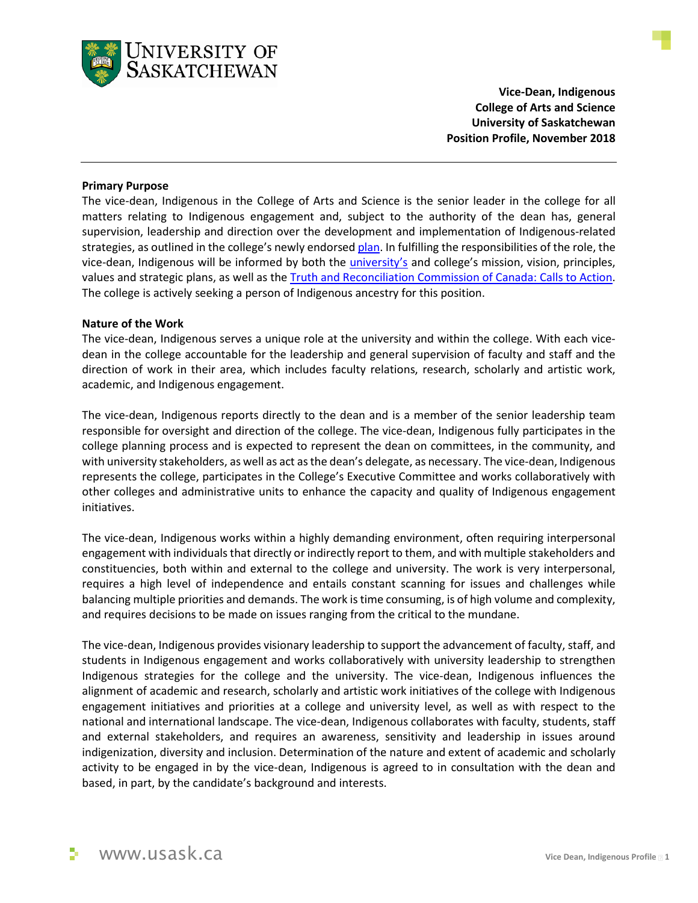

**Vice-Dean, Indigenous College of Arts and Science University of Saskatchewan Position Profile, November 2018** 

#### **Primary Purpose**

The vice-dean, Indigenous in the College of Arts and Science is the senior leader in the college for all matters relating to Indigenous engagement and, subject to the authority of the dean has, general supervision, leadership and direction over the development and implementation of Indigenous-related strategies, as outlined in the college's newly endorsed [plan](https://artsandscience.usask.ca/college/2025/plan.php). In fulfilling the responsibilities of the role, the vice-dean, Indigenous will be informed by both the *university's* and college's mission, vision, principles, values and strategic plans, as well as the [Truth and Reconciliation Commission of Canada: Calls to Action](http://www.trc.ca/websites/trcinstitution/File/2015/Findings/Calls_to_Action_English2.pdf). The college is actively seeking a person of Indigenous ancestry for this position.

#### **Nature of the Work**

The vice-dean, Indigenous serves a unique role at the university and within the college. With each vicedean in the college accountable for the leadership and general supervision of faculty and staff and the direction of work in their area, which includes faculty relations, research, scholarly and artistic work, academic, and Indigenous engagement.

The vice-dean, Indigenous reports directly to the dean and is a member of the senior leadership team responsible for oversight and direction of the college. The vice-dean, Indigenous fully participates in the college planning process and is expected to represent the dean on committees, in the community, and with university stakeholders, as well as act as the dean's delegate, as necessary. The vice-dean, Indigenous represents the college, participates in the College's Executive Committee and works collaboratively with other colleges and administrative units to enhance the capacity and quality of Indigenous engagement initiatives.

The vice-dean, Indigenous works within a highly demanding environment, often requiring interpersonal engagement with individuals that directly or indirectly report to them, and with multiple stakeholders and constituencies, both within and external to the college and university. The work is very interpersonal, requires a high level of independence and entails constant scanning for issues and challenges while balancing multiple priorities and demands. The work is time consuming, is of high volume and complexity, and requires decisions to be made on issues ranging from the critical to the mundane.

The vice-dean, Indigenous provides visionary leadership to support the advancement of faculty, staff, and students in Indigenous engagement and works collaboratively with university leadership to strengthen Indigenous strategies for the college and the university. The vice-dean, Indigenous influences the alignment of academic and research, scholarly and artistic work initiatives of the college with Indigenous engagement initiatives and priorities at a college and university level, as well as with respect to the national and international landscape. The vice-dean, Indigenous collaborates with faculty, students, staff and external stakeholders, and requires an awareness, sensitivity and leadership in issues around indigenization, diversity and inclusion. Determination of the nature and extent of academic and scholarly activity to be engaged in by the vice-dean, Indigenous is agreed to in consultation with the dean and based, in part, by the candidate's background and interests.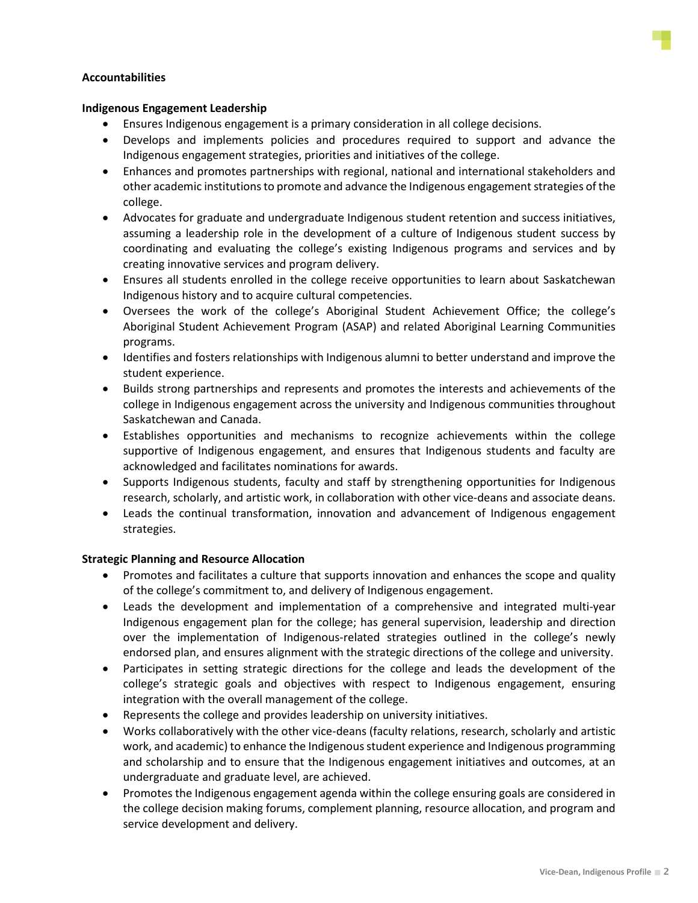

## **Accountabilities**

### **Indigenous Engagement Leadership**

- Ensures Indigenous engagement is a primary consideration in all college decisions.
- Develops and implements policies and procedures required to support and advance the Indigenous engagement strategies, priorities and initiatives of the college.
- Enhances and promotes partnerships with regional, national and international stakeholders and other academic institutions to promote and advance the Indigenous engagement strategies of the college.
- Advocates for graduate and undergraduate Indigenous student retention and success initiatives, assuming a leadership role in the development of a culture of Indigenous student success by coordinating and evaluating the college's existing Indigenous programs and services and by creating innovative services and program delivery.
- Ensures all students enrolled in the college receive opportunities to learn about Saskatchewan Indigenous history and to acquire cultural competencies.
- Oversees the work of the college's Aboriginal Student Achievement Office; the college's Aboriginal Student Achievement Program (ASAP) and related Aboriginal Learning Communities programs.
- Identifies and fosters relationships with Indigenous alumni to better understand and improve the student experience.
- Builds strong partnerships and represents and promotes the interests and achievements of the college in Indigenous engagement across the university and Indigenous communities throughout Saskatchewan and Canada.
- Establishes opportunities and mechanisms to recognize achievements within the college supportive of Indigenous engagement, and ensures that Indigenous students and faculty are acknowledged and facilitates nominations for awards.
- Supports Indigenous students, faculty and staff by strengthening opportunities for Indigenous research, scholarly, and artistic work, in collaboration with other vice-deans and associate deans.
- Leads the continual transformation, innovation and advancement of Indigenous engagement strategies.

### **Strategic Planning and Resource Allocation**

- Promotes and facilitates a culture that supports innovation and enhances the scope and quality of the college's commitment to, and delivery of Indigenous engagement.
- Leads the development and implementation of a comprehensive and integrated multi-year Indigenous engagement plan for the college; has general supervision, leadership and direction over the implementation of Indigenous-related strategies outlined in the college's newly endorsed plan, and ensures alignment with the strategic directions of the college and university.
- Participates in setting strategic directions for the college and leads the development of the college's strategic goals and objectives with respect to Indigenous engagement, ensuring integration with the overall management of the college.
- Represents the college and provides leadership on university initiatives.
- Works collaboratively with the other vice-deans (faculty relations, research, scholarly and artistic work, and academic) to enhance the Indigenous student experience and Indigenous programming and scholarship and to ensure that the Indigenous engagement initiatives and outcomes, at an undergraduate and graduate level, are achieved.
- Promotes the Indigenous engagement agenda within the college ensuring goals are considered in the college decision making forums, complement planning, resource allocation, and program and service development and delivery.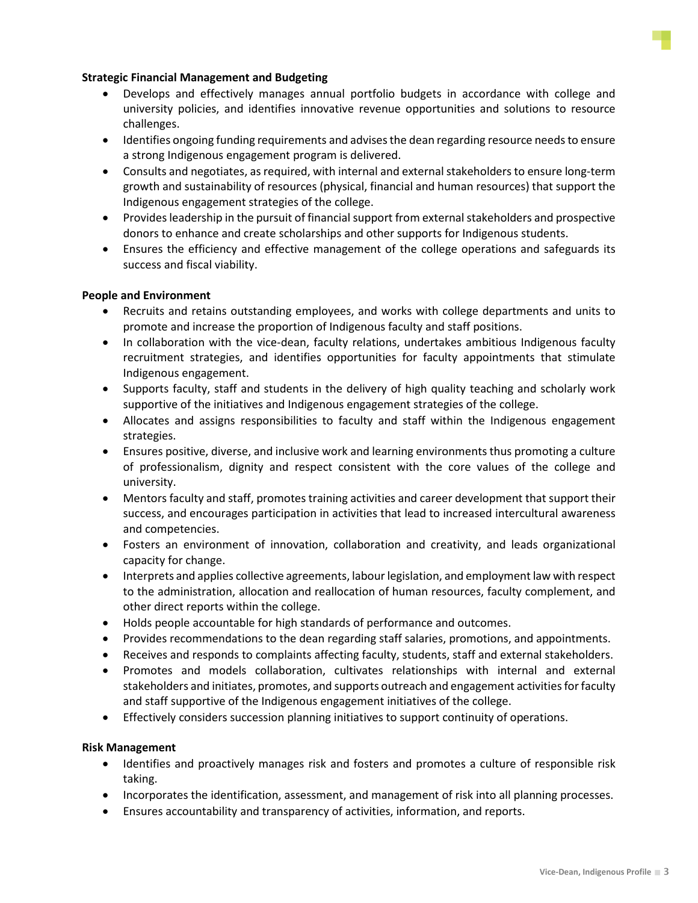

### **Strategic Financial Management and Budgeting**

- Develops and effectively manages annual portfolio budgets in accordance with college and university policies, and identifies innovative revenue opportunities and solutions to resource challenges.
- Identifies ongoing funding requirements and advises the dean regarding resource needs to ensure a strong Indigenous engagement program is delivered.
- Consults and negotiates, as required, with internal and external stakeholders to ensure long-term growth and sustainability of resources (physical, financial and human resources) that support the Indigenous engagement strategies of the college.
- Provides leadership in the pursuit of financial support from external stakeholders and prospective donors to enhance and create scholarships and other supports for Indigenous students.
- Ensures the efficiency and effective management of the college operations and safeguards its success and fiscal viability.

## **People and Environment**

- Recruits and retains outstanding employees, and works with college departments and units to promote and increase the proportion of Indigenous faculty and staff positions.
- In collaboration with the vice-dean, faculty relations, undertakes ambitious Indigenous faculty recruitment strategies, and identifies opportunities for faculty appointments that stimulate Indigenous engagement.
- Supports faculty, staff and students in the delivery of high quality teaching and scholarly work supportive of the initiatives and Indigenous engagement strategies of the college.
- Allocates and assigns responsibilities to faculty and staff within the Indigenous engagement strategies.
- Ensures positive, diverse, and inclusive work and learning environments thus promoting a culture of professionalism, dignity and respect consistent with the core values of the college and university.
- Mentors faculty and staff, promotes training activities and career development that support their success, and encourages participation in activities that lead to increased intercultural awareness and competencies.
- Fosters an environment of innovation, collaboration and creativity, and leads organizational capacity for change.
- Interprets and applies collective agreements, labour legislation, and employment law with respect to the administration, allocation and reallocation of human resources, faculty complement, and other direct reports within the college.
- Holds people accountable for high standards of performance and outcomes.
- Provides recommendations to the dean regarding staff salaries, promotions, and appointments.
- Receives and responds to complaints affecting faculty, students, staff and external stakeholders.
- Promotes and models collaboration, cultivates relationships with internal and external stakeholders and initiates, promotes, and supports outreach and engagement activities for faculty and staff supportive of the Indigenous engagement initiatives of the college.
- Effectively considers succession planning initiatives to support continuity of operations.

# **Risk Management**

- Identifies and proactively manages risk and fosters and promotes a culture of responsible risk taking.
- Incorporates the identification, assessment, and management of risk into all planning processes.
- Ensures accountability and transparency of activities, information, and reports.